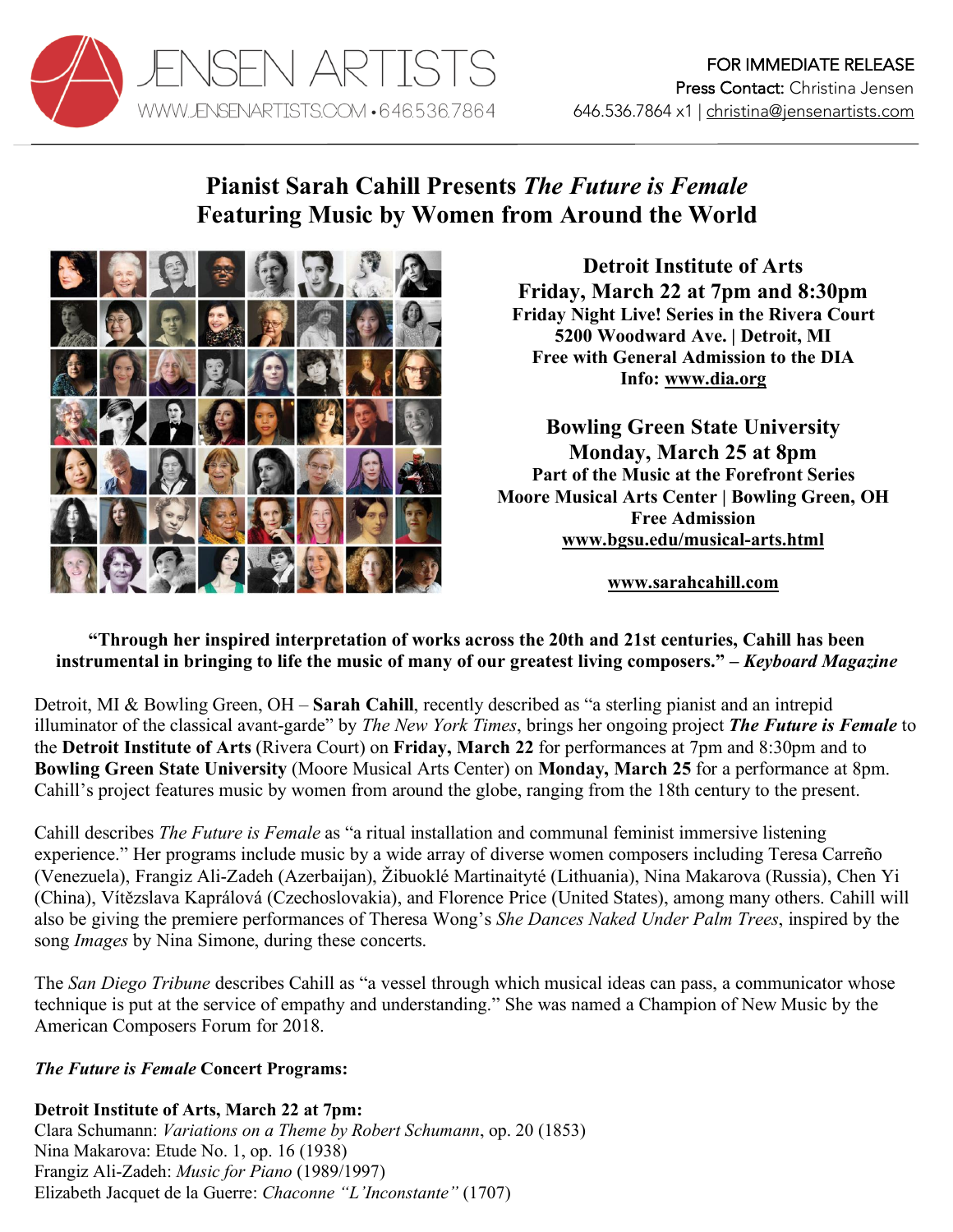

# **Pianist Sarah Cahill Presents** *The Future is Female* **Featuring Music by Women from Around the World**



**Detroit Institute of Arts Friday, March 22 at 7pm and 8:30pm Friday Night Live! Series in the Rivera Court 5200 Woodward Ave. | Detroit, MI Free with General Admission to the DIA Info: www.dia.org**

**Bowling Green State University Monday, March 25 at 8pm Part of the Music at the Forefront Series Moore Musical Arts Center | Bowling Green, OH Free Admission www.bgsu.edu/musical-arts.html**

**www.sarahcahill.com**

**"Through her inspired interpretation of works across the 20th and 21st centuries, Cahill has been instrumental in bringing to life the music of many of our greatest living composers." –** *Keyboard Magazine*

Detroit, MI & Bowling Green, OH – **Sarah Cahill**, recently described as "a sterling pianist and an intrepid illuminator of the classical avant-garde" by *The New York Times*, brings her ongoing project *The Future is Female* to the **Detroit Institute of Arts** (Rivera Court) on **Friday, March 22** for performances at 7pm and 8:30pm and to **Bowling Green State University** (Moore Musical Arts Center) on **Monday, March 25** for a performance at 8pm. Cahill's project features music by women from around the globe, ranging from the 18th century to the present.

Cahill describes *The Future is Female* as "a ritual installation and communal feminist immersive listening experience." Her programs include music by a wide array of diverse women composers including Teresa Carreño (Venezuela), Frangiz Ali-Zadeh (Azerbaijan), Žibuoklé Martinaityté (Lithuania), Nina Makarova (Russia), Chen Yi (China), Vítězslava Kaprálová (Czechoslovakia), and Florence Price (United States), among many others. Cahill will also be giving the premiere performances of Theresa Wong's *She Dances Naked Under Palm Trees*, inspired by the song *Images* by Nina Simone, during these concerts.

The *San Diego Tribune* describes Cahill as "a vessel through which musical ideas can pass, a communicator whose technique is put at the service of empathy and understanding." She was named a Champion of New Music by the American Composers Forum for 2018.

## *The Future is Female* **Concert Programs:**

**Detroit Institute of Arts, March 22 at 7pm:** Clara Schumann: *Variations on a Theme by Robert Schumann*, op. 20 (1853) Nina Makarova: Etude No. 1, op. 16 (1938) Frangiz Ali-Zadeh: *Music for Piano* (1989/1997) Elizabeth Jacquet de la Guerre: *Chaconne "L'Inconstante"* (1707)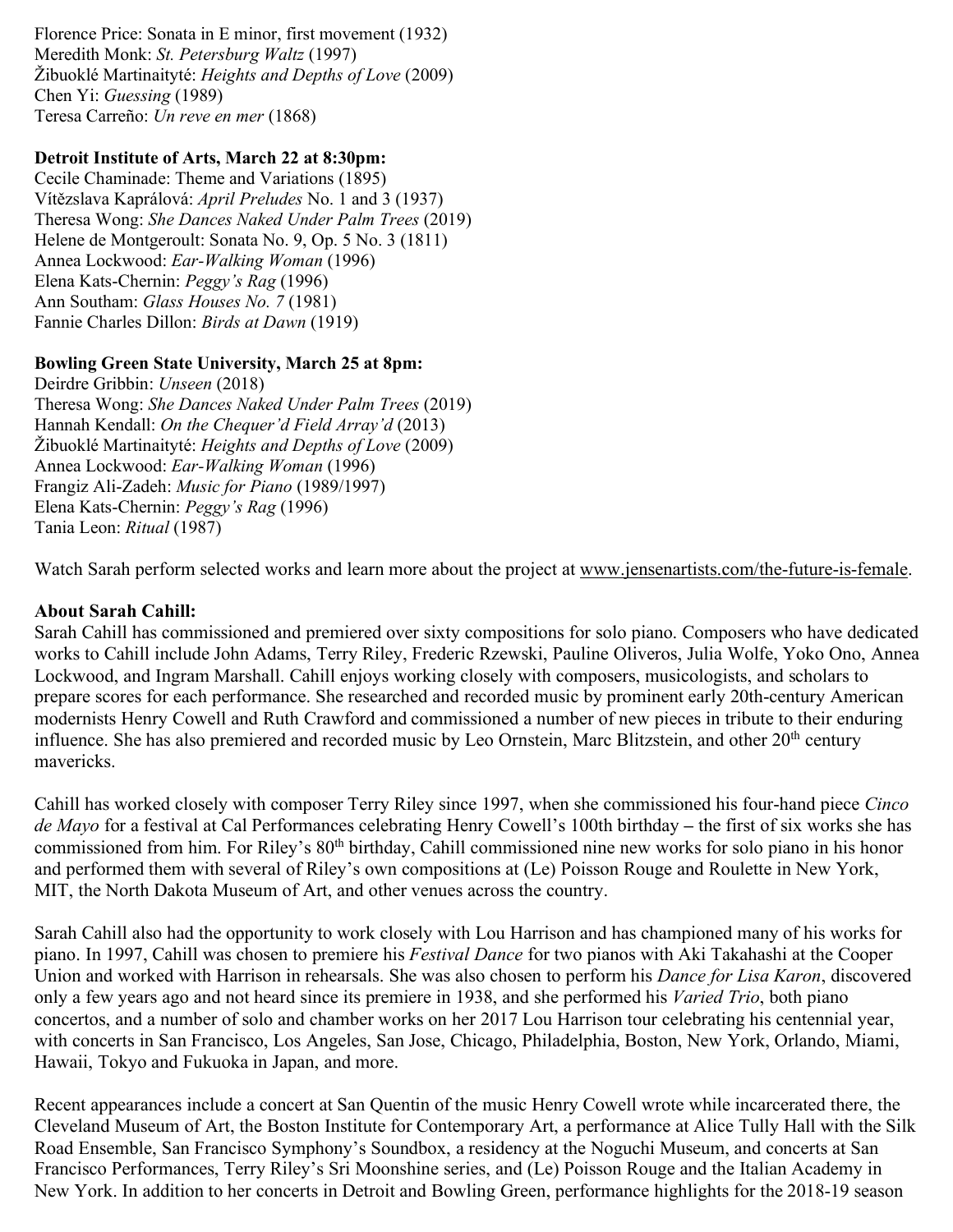Florence Price: Sonata in E minor, first movement (1932) Meredith Monk: *St. Petersburg Waltz* (1997) Žibuoklé Martinaityté: *Heights and Depths of Love* (2009) Chen Yi: *Guessing* (1989) Teresa Carreño: *Un reve en mer* (1868)

#### **Detroit Institute of Arts, March 22 at 8:30pm:**

Cecile Chaminade: Theme and Variations (1895) Vítězslava Kaprálová: *April Preludes* No. 1 and 3 (1937) Theresa Wong: *She Dances Naked Under Palm Trees* (2019) Helene de Montgeroult: Sonata No. 9, Op. 5 No. 3 (1811) Annea Lockwood: *Ear-Walking Woman* (1996) Elena Kats-Chernin: *Peggy's Rag* (1996) Ann Southam: *Glass Houses No. 7* (1981) Fannie Charles Dillon: *Birds at Dawn* (1919)

### **Bowling Green State University, March 25 at 8pm:**

Deirdre Gribbin: *Unseen* (2018) Theresa Wong: *She Dances Naked Under Palm Trees* (2019) Hannah Kendall: *On the Chequer'd Field Array'd* (2013) Žibuoklé Martinaityté: *Heights and Depths of Love* (2009) Annea Lockwood: *Ear-Walking Woman* (1996) Frangiz Ali-Zadeh: *Music for Piano* (1989/1997) Elena Kats-Chernin: *Peggy's Rag* (1996) Tania Leon: *Ritual* (1987)

Watch Sarah perform selected works and learn more about the project at www.jensenartists.com/the-future-is-female.

## **About Sarah Cahill:**

Sarah Cahill has commissioned and premiered over sixty compositions for solo piano. Composers who have dedicated works to Cahill include John Adams, Terry Riley, Frederic Rzewski, Pauline Oliveros, Julia Wolfe, Yoko Ono, Annea Lockwood, and Ingram Marshall. Cahill enjoys working closely with composers, musicologists, and scholars to prepare scores for each performance. She researched and recorded music by prominent early 20th-century American modernists Henry Cowell and Ruth Crawford and commissioned a number of new pieces in tribute to their enduring influence. She has also premiered and recorded music by Leo Ornstein, Marc Blitzstein, and other 20th century mavericks.

Cahill has worked closely with composer Terry Riley since 1997, when she commissioned his four-hand piece *Cinco de Mayo* for a festival at Cal Performances celebrating Henry Cowell's 100th birthday **–** the first of six works she has commissioned from him. For Riley's 80<sup>th</sup> birthday, Cahill commissioned nine new works for solo piano in his honor and performed them with several of Riley's own compositions at (Le) Poisson Rouge and Roulette in New York, MIT, the North Dakota Museum of Art, and other venues across the country.

Sarah Cahill also had the opportunity to work closely with Lou Harrison and has championed many of his works for piano. In 1997, Cahill was chosen to premiere his *Festival Dance* for two pianos with Aki Takahashi at the Cooper Union and worked with Harrison in rehearsals. She was also chosen to perform his *Dance for Lisa Karon*, discovered only a few years ago and not heard since its premiere in 1938, and she performed his *Varied Trio*, both piano concertos, and a number of solo and chamber works on her 2017 Lou Harrison tour celebrating his centennial year, with concerts in San Francisco, Los Angeles, San Jose, Chicago, Philadelphia, Boston, New York, Orlando, Miami, Hawaii, Tokyo and Fukuoka in Japan, and more.

Recent appearances include a concert at San Quentin of the music Henry Cowell wrote while incarcerated there, the Cleveland Museum of Art, the Boston Institute for Contemporary Art, a performance at Alice Tully Hall with the Silk Road Ensemble, San Francisco Symphony's Soundbox, a residency at the Noguchi Museum, and concerts at San Francisco Performances, Terry Riley's Sri Moonshine series, and (Le) Poisson Rouge and the Italian Academy in New York. In addition to her concerts in Detroit and Bowling Green, performance highlights for the 2018-19 season